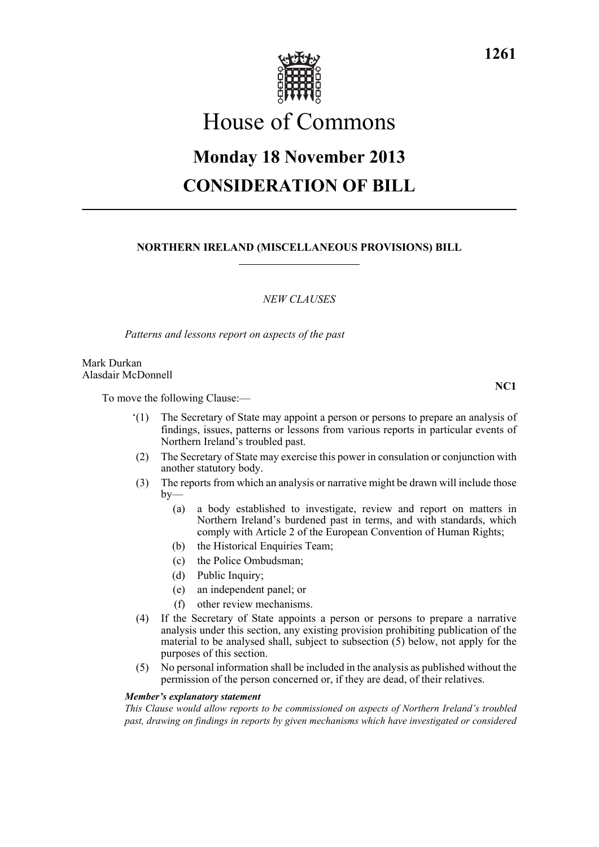

# House of Commons

# **Monday 18 November 2013 CONSIDERATION OF BILL**

## **NORTHERN IRELAND (MISCELLANEOUS PROVISIONS) BILL**

## *NEW CLAUSES*

*Patterns and lessons report on aspects of the past*

Mark Durkan Alasdair McDonnell

To move the following Clause:—

- '(1) The Secretary of State may appoint a person or persons to prepare an analysis of findings, issues, patterns or lessons from various reports in particular events of Northern Ireland's troubled past.
- (2) The Secretary of State may exercise this power in consulation or conjunction with another statutory body.
- (3) The reports from which an analysis or narrative might be drawn will include those by—
	- (a) a body established to investigate, review and report on matters in Northern Ireland's burdened past in terms, and with standards, which comply with Article 2 of the European Convention of Human Rights;
	- (b) the Historical Enquiries Team;
	- (c) the Police Ombudsman;
	- (d) Public Inquiry;
	- (e) an independent panel; or
	- (f) other review mechanisms.
- (4) If the Secretary of State appoints a person or persons to prepare a narrative analysis under this section, any existing provision prohibiting publication of the material to be analysed shall, subject to subsection (5) below, not apply for the purposes of this section.
- (5) No personal information shall be included in the analysis as published without the permission of the person concerned or, if they are dead, of their relatives.

#### *Member's explanatory statement*

*This Clause would allow reports to be commissioned on aspects of Northern Ireland's troubled past, drawing on findings in reports by given mechanisms which have investigated or considered*

**NC1**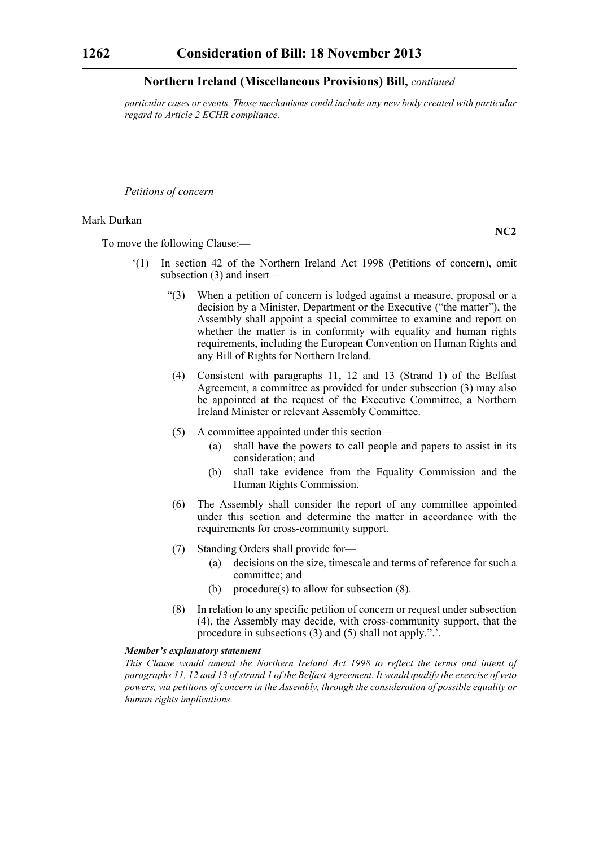*particular cases or events. Those mechanisms could include any new body created with particular regard to Article 2 ECHR compliance.*

*Petitions of concern*

#### Mark Durkan

To move the following Clause:—

- '(1) In section 42 of the Northern Ireland Act 1998 (Petitions of concern), omit subsection (3) and insert—
	- "(3) When a petition of concern is lodged against a measure, proposal or a decision by a Minister, Department or the Executive ("the matter"), the Assembly shall appoint a special committee to examine and report on whether the matter is in conformity with equality and human rights requirements, including the European Convention on Human Rights and any Bill of Rights for Northern Ireland.
	- (4) Consistent with paragraphs 11, 12 and 13 (Strand 1) of the Belfast Agreement, a committee as provided for under subsection (3) may also be appointed at the request of the Executive Committee, a Northern Ireland Minister or relevant Assembly Committee.
	- (5) A committee appointed under this section—
		- (a) shall have the powers to call people and papers to assist in its consideration; and
		- (b) shall take evidence from the Equality Commission and the Human Rights Commission.
	- (6) The Assembly shall consider the report of any committee appointed under this section and determine the matter in accordance with the requirements for cross-community support.
	- (7) Standing Orders shall provide for—
		- (a) decisions on the size, timescale and terms of reference for such a committee; and
		- (b) procedure(s) to allow for subsection (8).
	- (8) In relation to any specific petition of concern or request under subsection (4), the Assembly may decide, with cross-community support, that the procedure in subsections (3) and (5) shall not apply.".'.

#### *Member's explanatory statement*

*This Clause would amend the Northern Ireland Act 1998 to reflect the terms and intent of paragraphs 11, 12 and 13 of strand 1 of the Belfast Agreement. It would qualify the exercise of veto powers, via petitions of concern in the Assembly, through the consideration of possible equality or human rights implications.*

**NC2**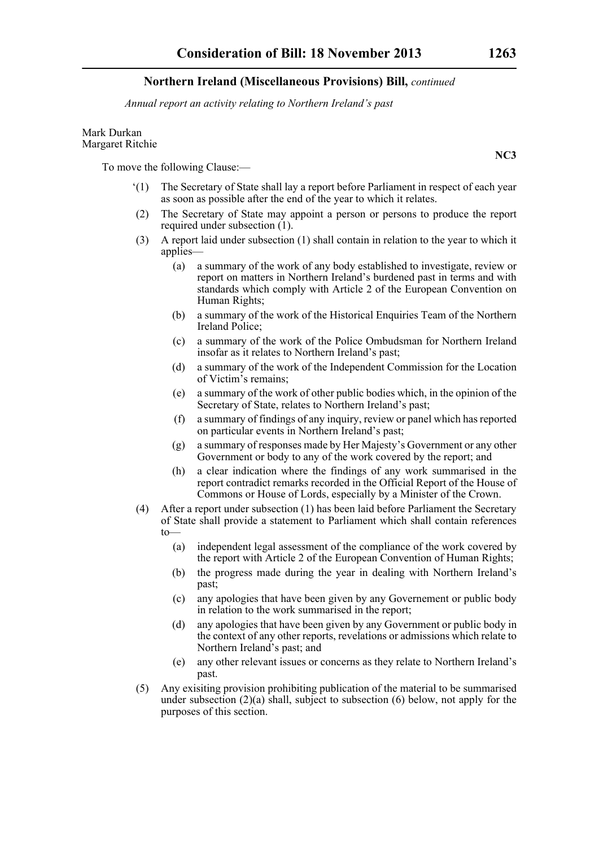*Annual report an activity relating to Northern Ireland's past*

#### Mark Durkan Margaret Ritchie

To move the following Clause:—

- '(1) The Secretary of State shall lay a report before Parliament in respect of each year as soon as possible after the end of the year to which it relates.
- (2) The Secretary of State may appoint a person or persons to produce the report required under subsection (1).
- (3) A report laid under subsection (1) shall contain in relation to the year to which it applies—
	- (a) a summary of the work of any body established to investigate, review or report on matters in Northern Ireland's burdened past in terms and with standards which comply with Article 2 of the European Convention on Human Rights;
	- (b) a summary of the work of the Historical Enquiries Team of the Northern Ireland Police;
	- (c) a summary of the work of the Police Ombudsman for Northern Ireland insofar as it relates to Northern Ireland's past;
	- (d) a summary of the work of the Independent Commission for the Location of Victim's remains;
	- (e) a summary of the work of other public bodies which, in the opinion of the Secretary of State, relates to Northern Ireland's past;
	- (f) a summary of findings of any inquiry, review or panel which has reported on particular events in Northern Ireland's past;
	- (g) a summary of responses made by Her Majesty's Government or any other Government or body to any of the work covered by the report; and
	- (h) a clear indication where the findings of any work summarised in the report contradict remarks recorded in the Official Report of the House of Commons or House of Lords, especially by a Minister of the Crown.
- (4) After a report under subsection (1) has been laid before Parliament the Secretary of State shall provide a statement to Parliament which shall contain references to—
	- (a) independent legal assessment of the compliance of the work covered by the report with Article 2 of the European Convention of Human Rights;
	- (b) the progress made during the year in dealing with Northern Ireland's past;
	- (c) any apologies that have been given by any Governement or public body in relation to the work summarised in the report;
	- (d) any apologies that have been given by any Government or public body in the context of any other reports, revelations or admissions which relate to Northern Ireland's past; and
	- (e) any other relevant issues or concerns as they relate to Northern Ireland's past.
- (5) Any exisiting provision prohibiting publication of the material to be summarised under subsection  $(2)(a)$  shall, subject to subsection (6) below, not apply for the purposes of this section.

**NC3**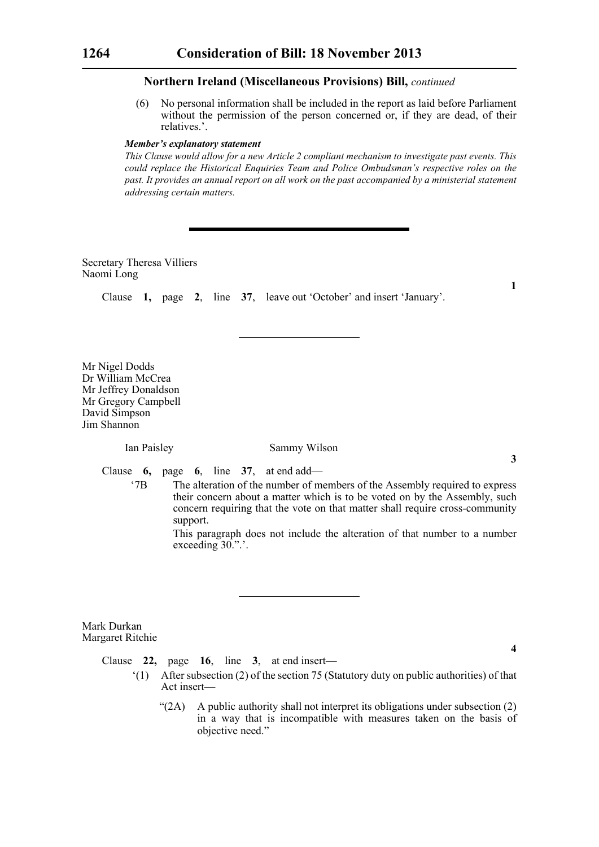(6) No personal information shall be included in the report as laid before Parliament without the permission of the person concerned or, if they are dead, of their relatives.'.

#### *Member's explanatory statement*

*This Clause would allow for a new Article 2 compliant mechanism to investigate past events. This could replace the Historical Enquiries Team and Police Ombudsman's respective roles on the past. It provides an annual report on all work on the past accompanied by a ministerial statement addressing certain matters.*

Secretary Theresa Villiers Naomi Long

Clause **1,** page **2**, line **37**, leave out 'October' and insert 'January'.

Mr Nigel Dodds Dr William McCrea Mr Jeffrey Donaldson Mr Gregory Campbell David Simpson Jim Shannon

#### Ian Paisley Sammy Wilson

Clause **6,** page **6**, line **37**, at end add—

'7B The alteration of the number of members of the Assembly required to express their concern about a matter which is to be voted on by the Assembly, such concern requiring that the vote on that matter shall require cross-community support.

This paragraph does not include the alteration of that number to a number exceeding  $30$ .".'.

Mark Durkan Margaret Ritchie

**4**

Clause **22,** page **16**, line **3**, at end insert—

- '(1) After subsection (2) of the section 75 (Statutory duty on public authorities) of that Act insert—
	- " $(2A)$  A public authority shall not interpret its obligations under subsection  $(2)$ in a way that is incompatible with measures taken on the basis of objective need."

**1**

**3**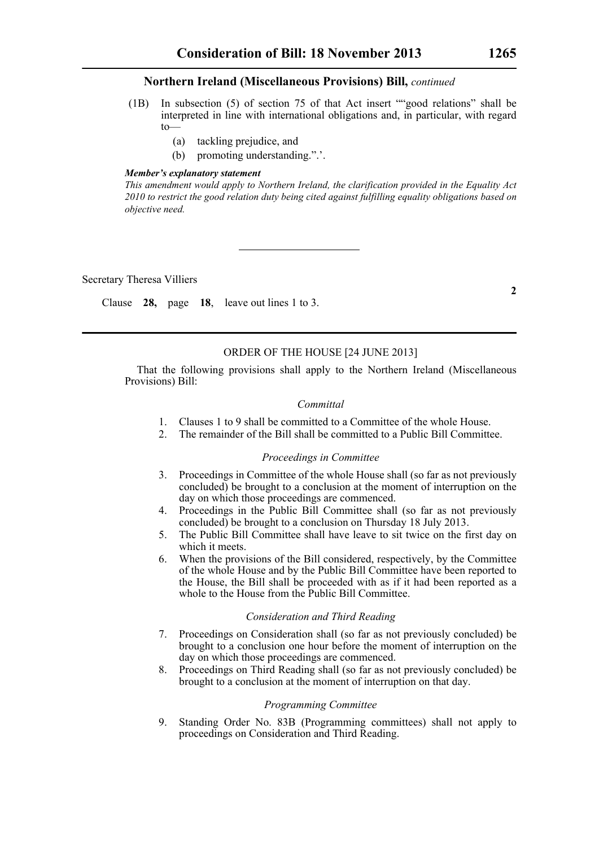- (1B) In subsection (5) of section 75 of that Act insert ""good relations" shall be interpreted in line with international obligations and, in particular, with regard to—
	- (a) tackling prejudice, and
	- (b) promoting understanding.".'.

#### *Member's explanatory statement*

*This amendment would apply to Northern Ireland, the clarification provided in the Equality Act 2010 to restrict the good relation duty being cited against fulfilling equality obligations based on objective need.*

Secretary Theresa Villiers

Clause **28,** page **18**, leave out lines 1 to 3.

# ORDER OF THE HOUSE [24 JUNE 2013]

That the following provisions shall apply to the Northern Ireland (Miscellaneous Provisions) Bill:

#### *Committal*

- 1. Clauses 1 to 9 shall be committed to a Committee of the whole House.
- 2. The remainder of the Bill shall be committed to a Public Bill Committee.

#### *Proceedings in Committee*

- 3. Proceedings in Committee of the whole House shall (so far as not previously concluded) be brought to a conclusion at the moment of interruption on the day on which those proceedings are commenced.
- 4. Proceedings in the Public Bill Committee shall (so far as not previously concluded) be brought to a conclusion on Thursday 18 July 2013.
- 5. The Public Bill Committee shall have leave to sit twice on the first day on which it meets.
- 6. When the provisions of the Bill considered, respectively, by the Committee of the whole House and by the Public Bill Committee have been reported to the House, the Bill shall be proceeded with as if it had been reported as a whole to the House from the Public Bill Committee.

#### *Consideration and Third Reading*

- 7. Proceedings on Consideration shall (so far as not previously concluded) be brought to a conclusion one hour before the moment of interruption on the day on which those proceedings are commenced.
- 8. Proceedings on Third Reading shall (so far as not previously concluded) be brought to a conclusion at the moment of interruption on that day.

#### *Programming Committee*

9. Standing Order No. 83B (Programming committees) shall not apply to proceedings on Consideration and Third Reading.

**2**